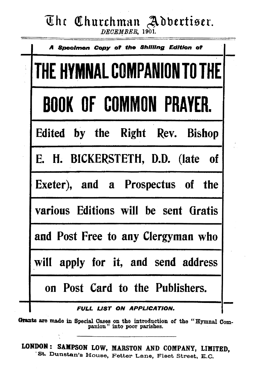## The Churchman Advertiser.

*DECEMBER*, 1901.

| A Specimen Copy of the Shilling Edition of |
|--------------------------------------------|
| THE HYMNAL COMPANION TO THE                |
| <b>BOOK OF COMMON PRAYER.</b>              |
| Edited by the Right Rev. Bishop            |
| E. H. BICKERSTETH, D.D. (late of           |
| Exeter), and a Prospectus of the           |
| various Editions will be sent Gratis       |
| and Post Free to any Clergyman who         |
| will apply for it, and send address        |
| on Post Card to the Publishers.            |
| FULL LIST ON APPLICATION.                  |

Grants are made in Special Cases on the introduction of the "Hymnal Com-<br>panion" into poor parishes.

LORDOR: SAMPSON LOW, MARSTON AND COMPANY, LIMITED ·St.. Dunstan's House, Fetter Lane, Fleet Street, E. C. '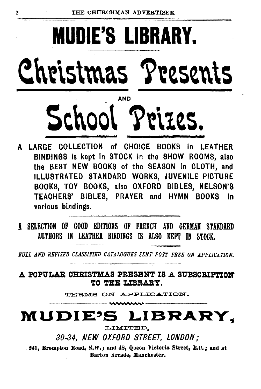# **MUDIE'S LIBRARY.**  Christmas Presents AND School Prizes.

- A LARGE COLLECTION of CHOICE BOOKS in LEATHER BINDINGS is kept in STOCK in the SHOW ROOMS, also the BEST NEW BOOKS of the SEASON in CLOTH, and ILLUSTRATED STANDARD WORKS, JUVENILE PICTURE BOOKS, TOY BOOKS, also OXFORD BIBLES, NELSON'S TEACHERS' BIBLES, PRAYER and HYMN BOOKS In various bindings.
- l SELECTION OF GOOD EDITIONS OF FRENCH AND GERMAN STANDARD AUTHORS IN LEATHER BINDINGS IS ALSO KEPT IN STOCK.

FULL AND REVISED CLASSIFIED CATALOGUES SENT POST FREE ON APPLICATION.

A POPULAR CHRISTMAS PRESENT IS A SUBSCRIPTION TO THE LIBRARY.

TERMS ON APPLICATION.

# **MUDIE'S LIBRARY,**

80-84, NEW OXFORD STREET, LONDON;

241, Brompton Road, S.W.; and 48, Queen Victoria Street, E.C.; and at Barton Arcade, Manchester.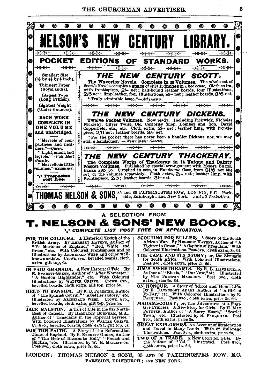THE CHURCHMAN ADVERTISER.

3



- JACK RALSTON. A Tale of Life in the Far North-Bast of Canada. By HAMILYON BURNHAM, M.A., Author of "Canadians in the Imperial Service." Cr. 8vo., bevelled boards, cloth extra, gilt top, 5s.
- FOR THE FAITH. A Story of the Reformation Times of England. By E. Evenewr-GREEN, Author of "The Helfr of Hasscombe Hall," "French and English," etc. Illustrated by W. H. MARGETSON. Post 8vo., cloth extra, price 3s. 6d.
- MADAMSCOURT; or, The Adventures of a Fuglitude Princess. A New Yory for Girls. By H. MAY Pownres, Author of "A Merry Heart," "Scarlet Town," etc. Illustrated by R. FARQUELA Post 8vo., cloth extra, price 2s.
- GREAT EXPLORERS. An Account of Exploration<br>and Travel in Many Lands. With 32 Full-page<br>Illustrations. Post 8vo., cloth extra, price 2s.
- TWO OF A TRADE. A New Story for Girls. By the Author of "Val." Illustrated. Post 8vo. cloth extra, price 1s. 6d.

LONDON: THOMAS NELSON & SONS, 35 AND 36 PATERNOSTER ROW, E.C. PARKSIDE, EDINBURGH; AND NEW YORK.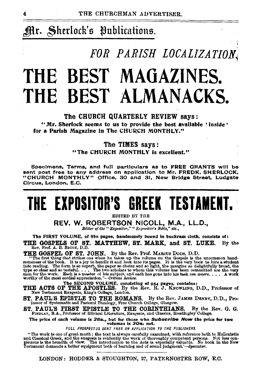## Mr. Sherlock's Publications.

## *FOR PARISH LOCALIZATION,*

# **THE BEST MAGAZINES. THE BEST ALMANACKS.**

#### The CHURCH QUARTERLY REVIEW says:

"Mr. Sherlock seems to us to provide the best available • inside • for a Parish Magazine in The CHURCH MONTHLY."

#### The TIMES says:

"The CHURCH MONTHLY is excellent."

Specimens, Terms, and full particulars as to FREE GRANTS will be sent post free to any address on application to Mr. FREDK. SHERLOCK, "CHURCH MONTHLY" Office, 30 and 31, New Bridge Street, Ludgate .Circus, London, E.C.

# **THE EXPOSITOR'S GREEK TESTAMENT.**

EDITED BY THE

REV. W. ROBERTSON NICOLL, M.A., LL.D., *Bditor of the " Expositor," " Expositor's Bible," etc.,* 

The FIRST VOLUME, of 88o pages, handsomely bound in buckram cloth, consists of: THE GOSPELS OF ST. MATTHEW, ST. MARK, and ST. LUKE. By the Rev, Prof. A. B. Bauce, D.D.

**THE GOSPEL OF ST. JOHN.** By the Rev. Prof. MAROUS DODS, D.D.<br>"The first thing that strikes one when he takes up the volume on the Gospels is the uncommon hand-<br>geomeness of the book. It is a joy to handle it and look into

THE ACTS OF THE APOSTLES. By the Rev. R. J. KNOWLING, D.D., Professor of<br>New Testament Exegesis, King's College, London.

ST. PAUL'S EPISTLE TO THE ROMANS. By the Rev. JAMES DENNY, D.D., Pro-fessor of Systematic and Pastoral Theology, Free Church College, Glasgow.

ST. PAUL'S FIRST EPISTLE TO THE CORINTHIANS. By the Rev. G. G. G. FINDLAY, B.A., Professor of Biblical Literature, Exegesis, and Classics, Headingley College.

The price of each volume is 28s., but for those who Subscribe Now the price for two volumes is 30s. net.

FULL PROSPECTUS SENT FREE ON APPLICATION TO THE PUBLISHERS.

"The work is one of great merit; the text is always carefully examined, with reference both to Hellenistic and Chesical Greek, and the exceptis is evidently the work of thoroughly competent persons. Not less con-<br>picuous is the breadth of view. The introduction to the Acts is especially valuable. No book in the New<br>Testament de

LONDON: HODDER & STOUGHTON, 27, PATERNOSTER ROW, E.O.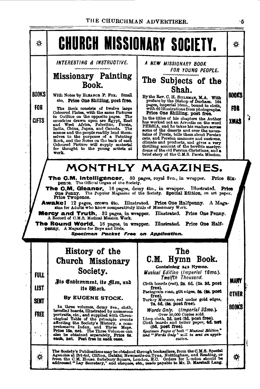#### THE CHURCHMAN ADVERTISER.



١ĥ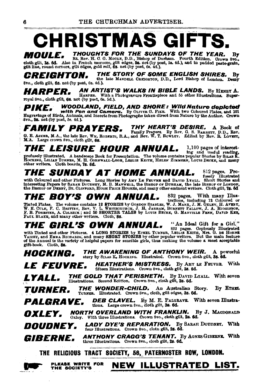## \_\_\_\_\_ **CHRISTMAS**

THOUGHTS FOR THE SUNDAYS OF THE YEAR. *MOULE.* By extra Rev. H. C. G. Motte, D.D., Bishop of Durham. Fourth Edition. Crown 8vo., glit line, round corners, glit edges, gold roll, 6s. net (by post, 5s. 4d.), and in padded paste-grain, glit line, round corners, glit edges, g

THE STORY OF SOME ENGLISH SHIRES. *CREIGHTON.* Bv the late MANDELL CREIGHTON, D.D., Lord Bishop of London. Demy  $8v_0$ , cloth gilt, 6s, net (by post, 6s, 4d.).

AN ARTIST'S WALKS IN BIBLE LANDS. By HENEY A. *HARPER.* **FIFE IT FOR THE TABLE TO THE REPORT OF STATE LATELED.** By HRNBT A.<br>royal 8vo., cloth gilt, 6s. not (by post, 6s. 5d.).

**PIKE.** WOODLAND, FIELD, AND SHORE: Wild Nature depleted<br>Engravings of Birds, Animals, and Insects from Photographs taken direct from Nature by the Author. Crown 8vo., 5s. net (by post, 5s. 4d.).

**FAMILY PRAYERS.** THY HEART'S DESIRE. A Book of G. E. ASKER, M.A., the late Rev. W.x. ROBERTS, B.A., and Rev. W. T. ROWLEY. Edited by Rev. R. Lovert, M.A. Large crown 8vo., cloth gilt, 68.

The Leisure Hour Annual. 1,100 pages of interestprofusely illustrated. A handsome Book for Presentation. The volume contains popular Siction Heating, Hocking, LILIAN TURNER, M. H. Consweatle. LEGISLE KETTE, HELEN ZUMMERS, LOUIS PRESS R. Hocking opular Stocks by SILAN T

#### 812 pages. Pro-<br>fusely Illustrated The sunday at home annual.

with Coloured and other Pictures. Long Stories by AMY LE FEUVER and DAVID LYALL. Short Stories and there the SARAR Doubles and interesting Papers by SARAR Discover, w. B. Short Stories and the State of Lordow, the Bission

THE BOY'S OWN ANNUAL. 832 pages. With many Illus-PAUL BLAKE, and many other writers. Cloth, 88.

"An Ideal Gift for a Girl." The Girl's own Annual. **FITE WITHE UPPIN AINTUAL** Su these out for a city, with Tinted and other Pictures. 4 LONG STORIES by ETHEL TURNER, LESLIE KEITS, Mrs. G. DE HORNE VAIZEY, and EMMA RICHARDS, and many SHORT STORIES by other popular writers. glft-book. Cloth. Sa.

THE AWAKENING OF ANTHONY WEIR. A potenty by SILAS K. HOUSLEY. IIIustrated. Crown 8vo., cloth gilt, 38. 6d. A powerful HOCKING.

**HEATHER'S MISTRESS.** By AMY LE FRUVER, With *LE FEUVRE.* fifteen Illustrations. Crown 8vo., cloth gilt, 3s. 6d.

**THE GOLD THAT PERISHETH.** By DAVID LYALL. With seven Illustrations. Second Edition. Crown 8vo., cloth gilt, 3s. 6d. LYALL.

THE WONDER-CHILD. An Australian Story. By ETHEL TURNER. TURNER. Illustrated. Crown 8vo., cloth, gilt edges, 3s. 6d.

**DEB CLAVEL.** By M. E. PALGRAVE. With seven Illustra-*PALGRAVE.* tions. Large crown 8vo., cloth gilt, 3s. 6d.

NORTH OVERLAND WITH FRANKLIN. By J. MACDONALD OXLEY. Oxley. With three Illustrations. Crown 8vo., cloth gilt, 2s. 6d.

LADY DYE'S REPARATION. By SARAH DOUDNEY. With four Illustrations. Crown 8vo., cloth gilt, 2s. 6d. DOUDNEY.

**ANTHONY CRAGG'S TENANT.** By AGNES GIBERNE. With GIBERNE. three Illustrations. Crown 8vo., cloth gilt, 2s. 6d.

THE RELICIOUS TRACT SOCIETY, 56, PATERNOSTER ROW, LONDON.

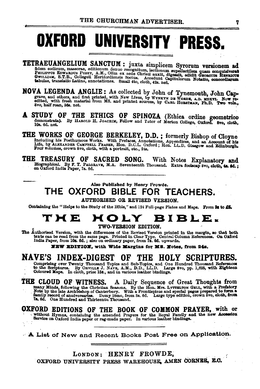# OXFORD UNIVERSITY PRESS.

TETRAEUANGELIUM SANCTUM : juxta simplicem Syrorum versionem ad fidem codicum, massorae, editionum denuo recognitum, lectionum supelectilem quam conquisivent PHILIPPUS EDWARDUS PUSEY, A.M., Olim ex aede Christi auxit, diges

- NOVA LEGENDA ANGLIE: As collected by John of Tynemouth, John Cap-<br>grave, and others, and first printed, with New Lives, by WYNKYN DE WORDE, A.D. MOXVI. Now re-<br>edited, with resh material from MS. and printed sources, by CA
- A STUDY OF THE ETHICS OF SPINOZA (Ethica ordine geometrico demonstrata). By HAROLD H. JOACHIM, Fellow and Tator of Merton College, Oxford. 8vo, cloth, 10s. 6d. net.

THE WORKS OF GEORGE BERKELEY, D.D.; formerly Bishop of Cloyne Including his Posthumous Works. With Prefaces, Annotations, Appendices, and an Account of his Life, by ALEXANDER CAMPBELL FRASKR, Hon. D.C.L. Oxford; Hon. LL.D.

THE TREASURY OF SACRED SONG. With Notes Explanatory and Blographical. By F. T. PALGRAVE, M.A. Seventeenth Thousand. Extra foolscap 8vo, cloth, 4s. 6d.;<br>on Oxford India Paper, 7s. 6d.

#### Also Published by Henry Frowde. THE OXFORD BIBLE FOR TEACHERS.

**AUTHORISED OR REVISED VERSION.** 

Containing the "Helps to the Study of the Bible," and 124 Full-page Plates and Maps. From 3s to £5.

## THE HOLY BIBLE.

#### TWO-VERSION EDITION.

The Authorised Version, with the differences of the Revised Version printed in the margin, so that both texts can be read from the same page. Printed in Clear Type. Central Column References. On Oxford India Paper, from 10

NEW EDITION, with Wide Margins for MS. Notes, from 24s.

#### NAVE'S INDEX-DIGEST OF THE HOLY SCRIPTURES.

Comprising over Twenty Thousand Topics and Sub-Topics, and One Hundred Thousand References<br>to the Scriptures. By ORVILLE J. NAVE, A.M., D.D., LL.D. Large 8vo, pp. 1,625, with Eighteen<br>Coloured Maps. In cloth, price 15s., a

THE CLOUD OF WITNESS. A Daily Sequence of Great Thoughts from<br>many Minds, following the Christian Seasons. By the Hon. Mrs. LYTTELTON GELL, with a Prefatory<br>Note by the late Archbishop of Canterbury. With a Frontispice and

OXFORD EDITIONS OF THE BOOK OF COMMON PRAYER, with or without Hymns, containing the amended Prayers for the Royal Family and the new Accession Service on Oxford India paper or rag-made paper. In various leather bindings.

A List of New and Recent Books Post Free on Application.

LONDON: HENRY FROWDE. OXFORD UNIVERSITY PRESS WAREHOUSE, AMEN CORNER, E.C.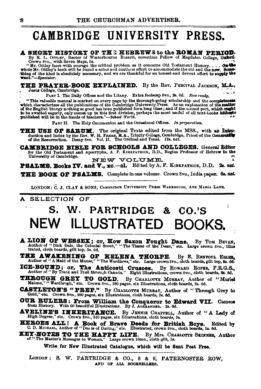## CAMBRIDGE UNIVERSITY PRESS.

**A SHORT HISTORY OF THE HEBREWS to the ROMAN PERIOD.**<br>By R. L. OTTLEY, Rector of Winterbourne Bassett, sometime Fellow of Magdalen College, Oxford.<br>Crown 8to., with Seven Maps, 5s.

"When seven maps, says. The critical problem as it concerns Old Testament History.... On the whole Mr. Ottley's book will be found a sober aud cautious effort to accommodate the old and the new. Somewhole Mr. Ottley's book

THE PRATER-BOOK EXPLAINED. By the Rev. PERCIVAL JACKSON, M.A., Jesus College, Cambridge.

PART I. The Daily Offices and the Litany. Extra foolscap 8vo., 2s. 6d. Now ready.

"This valuable manual is marked on every page by the thorough-going scholarship and the completeness<br>which characterizes all the publications of the Cambridge University Press. As an explanation of the **matter**<br>of the Bang

PART II. The Holy Communion and the Occasional Offices. In preparation.

THE USE OF SARUM. The original Texts edited from the MSS., with an Introduction and Index by the Rev. W. H. FREER, M.A., Trinity College, Cambridge, Priest of the Community of the Resurrection. Demy 8vo. Vol. II. The Ordin

**CAMBRIDGE BIBLE FOR SCHOOLS AND COLLEGES.** General Editor for the Old Testament and Apocrypha, A. F. KIRKPATRICK, D.D., Regius Professor of Hebrew in the University of Cambridge. NEW VOLUME.

PSALMS. Books IV. and V., xc.-cl. Edited by A. F. KIBKPATRICK, D.D. 2s. net.

THE BOOK OF PSALMS. Complete in one volume. Crown 8vo., India paper. 6s. net.

LONDON: C. J. CLAY & SONS, CAMBRIDGE UNIVERSITY PRESS WAREHOUSE, AVE MARIA LANE.

Ĵ,

#### SELECTION OF A

### W. PARTRIDGE & CO.'S NEW ILLUSTRATE

**A LION OF WESSEX; Or, HOW Saxon Fought Dane.** By TOM BEVAN, Author of "Dick Dale, the Colonial Scout," "The Thane of the Dean," etc. Large crown 8vo., Illus trated, cloth boards, gilt top, 3s. 6d.

THE AWAKENING OF HELENA THORPE. By E. RENTOUL ESLEE, Author of "A Maid of the Manse," "The Wardlaws," etc. Large crown Svo., cloth boards, gilt top, Ss. 6d-

ICE-BOUND; or, The Anticosti Crusoes. By EDWARD ROPER, F.R.G.S., Author of "By Track and Trail through Canada." Eight Illustrations, crown 8vo., cloth boards, 2s. 6d. By EDWARD ROPER, F.R.G.S.,

**THROUGH GREY TO GOLD.** By CHARLOTTE MURRAY, Author Malone," "Wardlaugh," etc. Crown 8vo., 280 pages, six Illustrations, cloth boards, 2s. 6d. By CHARLOTTE MURRAY, Author of "Muriel

CASTLETON'S "PREP." By CHARLOTTE MURRAY, Author of "Through Grey to Gold," etc. Crown 8vo., 280 pages, six Illustrations, cloth boards, 2s. 6d.

OUR RULERS: From William the Conqueror to Edward VII. Cameos from History. With 60 beautiful Illustrations. By J. ALEXANDER. 2s. 8d.

AVELINE'S INHERITANCE. By JENNIE CHAPPELL, Author of "A Lady of High Degree," etc. Crown 8vo., 320 pages, six Illustrations, cloth boards, 2s.

HEROES ALL! A Book of Brave Deeds for British Boys. Edited by C. D. MICHAEL, Author of "Dee is of Daring," etc. Illustrated, crown 8vo., cloth boards, 1s. 6d.

**KEY-MOTES TO THE HAPPY LIFE.** By Mrs. CHARLOTTE SEINNER, Author of "The Master's Messages to Women." Large crown 16mo., cloth gilt, 1s.

Write for New Illustrated Catalogue, which will be Sent Post Free.

LONDON: S. W. PARTRIDGE & CO., 8 & 9, PATERNOSTER ROW, AND OF ALL BOOKSELLERS.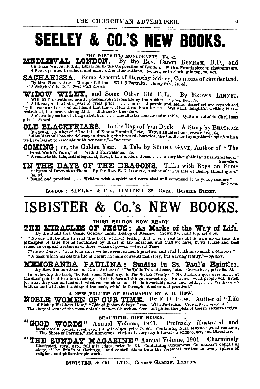# **SEELEY & CO.'S NEW BOOKS.**

THE PORTFOLIO MONOGRAPHS. No. 42.<br>**NDON.** By the Rev. Canon BENHAM, D.D., and MEDIÆVAL LONDON. CHARLES WELCH, F.S.A., Librarian to the Corporation of London. With a Frontispiece in photogravure, 4 Plates printed in colour, and many other Illustrations. 5s. net, or in cloth, gilt top, 7s. net.

SACHARISSA. Some Account of Dorothy Sidney, Count " By Mrs. HENRY ADY. Cheaper Edition. With 5 Portraits. Demy Svo., 7s. 6d. Some Account of Dorothy Sidney, Countess of Sunderland.

WIDOW WILLEY, and Some Other Old Folk. By BROWN LINNET.<br>
"A literary and artistic pearl of great price.... The actual people and seenes described are reproduced<br>
by the Author. Crown 8va., 5s.<br>
"A literary and artistic pea

gift."-Record.

OLD. BLACKFRIARS. In the Days of Van Dyck. A Story by BEATRICE Was Barshall, "Massuell has the dilite of Emma Marshall," etc. With 8 Illustrations, crown 8vo., 5s. "Miss Marshall has the didicacy in drawing the lines of ch

COMING: or, the Golden Year. A Tale by SELINA GAYE, Author of "The Great World's Farm," etc. With 8 Illustrations. 5s.<br>"A remarkable tale, half allegorical, though in a modern dress.... A very thoughtful and beautiful book

Guardian. IN THE DAYS OF THE DRAGONS. Talks with Boys on Some subjects of Interest to Them. By the Rev. E. C. Dawson, Author of "The Life of Bishop Hannington." Talks with Boys on Some 1s. 6d.

"Sound and practical. . . . Written with a spirit and verve that will commend it to young readers"

Scotsman. LONDON: SEELEY & CO., LIMITED, 38, GREAT RUSSELL STREET.

## ISBISTER & Co.'s NEW BOOKS.

#### THIRD EDITION NOW READY.

## THE MIRACLES OF JESUS: As Marks of the Way of Life.<br>By the Right Rev. Cosmo Gorbon Lano, Bishop of Stepney. Crown 8vo., gilt top, price 6s.

Dependence of the solid to read this book without feeling that a very real insight is here given into the principles of true life as inculcated by Christ in His miracles, and that we have, in its truest and best sense, an

The Record says: "It is long since we have seen so much practical and vital truth in so small a compass."

"A book which makes the life of Christ no mere conventional story, but a living reality."-Speaker.

**MEMORANDA PAULINA:** Studies in St. Paul's Epistles.<br>By Rev. GEORGE JACKSON, B.A., Author of "The Table Talk of Jesus," etc. Crown Svo., price 3s. 6d.<br>In reviewing the book, Dr. Robertson Nicoll says in The British Weekly:

#### A NEW VOLUME OF BIOGRAPHY BY F. D. HOW.

NOBLE WOMEN OF OUR TIME. By F. D. How. Auther of "Life of Bishop Walsham How," "Life of Bishop Selwyn," etc. With Portraits. Crown 8vo., price 5s.<br>The story of some of the most notable women Church-workers and philanthropi

#### BEAUTIFUL GIFT BOOKS.

COD WORDS" Annual Volume, 1901. Profusely illustrated and handsomely bound, royal 8vo., full gilt edges, price 7s. 6d. Containing Nett MUNRO's great romance, "The Shoes of Fortune," and numerous articles of every-day inter "GOOD WORDS"

"THE SUNDAY MAGAZINE" Annual Volume, 1901. Charmingly<br>illustrated, royal 8vo., full gilt edges, price 7s. 6d. Containing CHRISTAREL COLERNDOR'S delightful<br>story, "The Winds of Cathrigg," and contributions from the foremost

ISBISTER & CO., LTD., COVENT GARDEN, LONDON.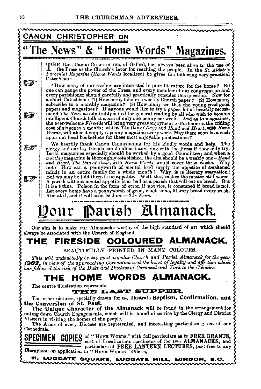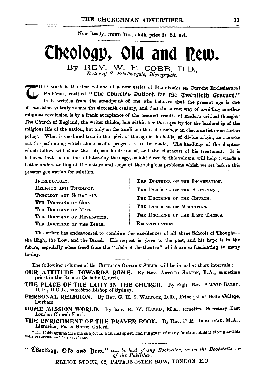Now Ready, crown 8vo., cloth, price 2s, 6d. net.

### **Cb¢Oiogp, Old and R¢W.**  By REV. W. F. COBB, D.D.,  $Rector~of~S.$  Ethelburga's, Bishopsgate.

HIS work is the first volume of a new series of Handbooks on Current Ecclesiastical Problems, entitled "The Church's Qutlook for the Twentieth Century." It is written from the standpoint of one who believes that the present age is one of transition as truly as was the sixteenth century, and that the surest way of avoiding another religious revolution is by a frank acceptance of the assured results of modern critical thought<sup>\*</sup> The Church of England, the writer thinks, has within her the capacity for the leadership of the religious life of the nation, but only on the condition that she eschew an obscurantist or sectarian policy. What is good and true in the spirit of the age is, he holds, of divine origin, and marks out the path along which alone useful progress is to be made. The headings of the chapters which follow will show the subjects he treats of, and the character of his treatment. It is believed that the outlines of later-day theology, as laid down in this volume, will help towards a better understanding of the nature and scope of the religious problems which we set before this present generation for solution.

INTRODUCTORY, RELIGION AND THEOLOGY. THEOLOGY AND SCIENTIFIC. THE DOCTRINE OF GOD. THE DOCTRING OF MAN. THE DOOTRINE OF REVELATION. THE DOCTRINE OF THE BIBLE.

THE DOOTBINE OF THE INCARNATION, THE DOOTEINE OF THE ATONEMENT. THE DOCTRINE OF THE CHURCH. THE DOCTRINE OF MEDIATION. THE DOCTRINE OF THE LAST THINGS. RECAPITULATION.

The writer has endeavoured to combine the excellences of all three Schools of Thoughtthe High, the Low, and the Broad. His respect is given to the past, and his hope is in the future, especially when freed from the "idols of the theatre" which are so fascinating to many to-day.

The following volumes of the CHURCH's OUTLOOK SERIES will be issued at short intervals:

- OUR ATTITUDE TOWARDS ROME. By Rev. ABTHUR GALTON, B.A., sometime priest in the Roman Catholic Church.
- THE PLACE OF THE LAITY IN THE CHURCH. By Right Rev. ALFRED BARRY, D.D., D.C.L., sometime Bishop of Sydney.
- PERSONAL RELIGION. By Rev. G. H. S. WALFOLE, D.D., Principal of Bede College, Durham.
- HOME MISSION WORLD. By Rev. R. W. HARRIS, M.A., sometime Secretary East London Church Fund.
- THE ENRICHMENT OF THE PRAYER BOOK. By Rev. F. E. BRIGHTMAN, M.A., Librarian, Pusey House, Oxford.

"Dr. Cobb approaches his subject in a liberal spirit, and his grasp of many fundamentals is strong andhla tone reverent."-7 *he Churchman •* 

<sup>\*\*</sup> *Cheofogy.* Ofd and (Itern.<sup>\*\*</sup> can be had nf any Bookseller, or on the Bookstalls. or of the Publisher,

ELLIOT STOCK, 62, PATERNOSTER ROW, LONDON E.C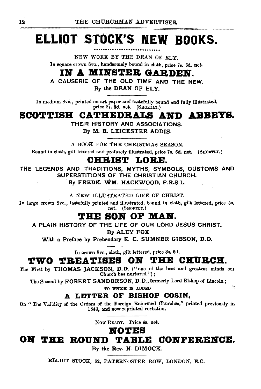## **ELLIOT STOCK'S NEW BOOKS.**

NEW WORK BY THE DEAN OF ELY. In souare orown 8vo., handsomely bound in cloth, price 7s. 6d. net.

### **IN A MINSTER GARDEN.**

A CAUSERIE OF THE OLD TIME AND THE NEW.

By the DEAN OF ELY.

In medium 8vo., printed on art paper and tastefully bound and fully illustrated, price 8s. 6d. net. (SHORTLY.)

### **SCOTTISH CATHEDRALS AND ABBEYS.**

THEIR HISTORY AND ASSOCIATIONS. By M. E. LEICESTER ADDIS.

A BOOK FOR THE CHRISTMAS SEASON.

Bound in cloth, gilt lettered and profusely illustrated, price 7s. 6d. net. (SHORTLY.)

### **CBBIST LOBE.**

THE LEGENDS AND TRADITIONS, MYTHS, SYMBOLS, CUSTOMS AND SUPERSTITIONS OF THE CHRISTIAN CHURCH.

By FREDK. WM. HACKWOOD, F.R.S.L.

A NEW ILLUSTRATED LIFE OF CHRIST.

In large crown 8vo., tastefully printed and illustrated, bound in cloth, gilt lettered, price 5s. net. (SHORTLY.)

#### **THE SON OF MAN.**

A PLAIN HISTORY OF THE LIFE OF OUR LORD JESUS CHRIST.

By ALEY FOX

With a Preface by Prebendary E. C. SUMNER GIBSON, D.D.

In crown Svo., cloth, gilt lettered, price 3s. 6d.

### **TWO TREATISES ON THE CBUBCB.**

The First by THOMAS JACKSON, D.D. ("one of the best and greatest minds our Church has nurtured ");

The Second by ROBERT SANDERSON, D.D., formerly Lord Bishop of Lincoln:

TO WHIOH IS ADDED

#### **.A. LETTER OF BISHOP COBIN,**

On "The Validity of the Orders of the Foreign Reformed Churches," printed previously in 1843, and now reprinted verbatim.

Now READY, Price 4s. net.

### **NOTES**<br>**ON THE ROUND TABL 05 THE BOUND TABLE CONFEBEIICE.**

By the Rev. N. DIMOCK.

ELLIOT STOCK, 62, PATERNOSTER ROW, LONDON, E.C.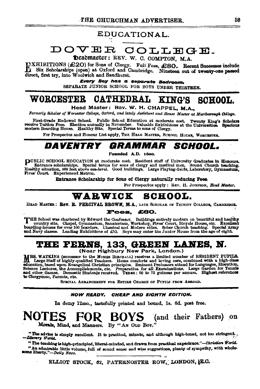#### EDUCATIONAL.

## DOVER COLLEGE.

beadmaster: REV. W. C. COMPTON, M.A.

[NXHIBITIONS (£20) for Sons of Clergy. Full Fees, £80. Recent Successes include Six Scholarships (open) at Oxford and Cambridge. Nineteen out of twenty-one passed direct, first try, into Woolwich and Sandhurst.

Every Boy has a separate Bedroom.

SEPARATE JUNIOR SCHOOL FOR BOYS UNDER THIRTEEN.

#### **CATHEDRAL WORCESTER KING'S** SCHOOL.

Head Master: Rev. W. H. CHAPPEL, M.A.,

Formerly Scholar of Worcester College, Oxford, and lately Assistant and House Master at Mariborough College.

First-Grade Endowed School. Public School Education at moderate cost. Twenty King's Scholars<br>receive Tuition Free. Election annually in November. Valuable Exhibitions at the Universities. Spacious modern Boarding House. Healthy Site. Special Terms to sons of Clergy.

For Prospectus and Honour List apply, THE HEAD MASTER, SCHOOL HOUSE, WORCESTER.

#### DAVENTRY *GRAMMAR* SCHOOL.

Founded A.D. 1600.

PUBLIC SCHOOL EDUCATION at moderate cost. Resident staff of University Graduates in Honours.<br>Entrance scholarships. Special terms for sons of clergy and medical men. Sound Church teaching.<br>Healthy situation, 800 feet above

Entrance Scholarship for Sons of Clergy naturally reducing Fees.

For Prospectus apply; REV. H. JORNSON, Head Master.

#### **WARWICK SCHOOL.**

HEAD MASTER: ROV. R. PERCIVAL BROWN, M.A., LATE SCHOLAR OF TRINITY COLLEGE, CAMBRIDGE.

#### Fees. £60.

THE School was chartered by Edward the Confessor. Buildings entirely modern on beautiful and healthy country site. Chapel, Gymnasium, Sanatorium, Workshop, Fives' Court, Bicyde House, etc. Excellent boarding-houses for ove

## THE FERNS, 133, GREEN LANES, N.

MRS. WATKINS (successor to the MISSES BIRCEALL) receives a limited number of RESIDENT PUPILS.<br>In Large Staff of highly-qualified Teachers. Home comforts and loving care, combined with a high-class direction, based upon Brangelical Christian principles. Eminent Professors attend for Languages, Elocution, Science Lectures, the Accomplishments, etc. Preparation for all Examinations. Large Garden for Tennis Science Lect to Clergymen, Parents, etc.

SPECIAL ARBANGEMENT FOR ENTIRE CHARGE OF PUPILS FROM ABBOAD.

#### NOW READY. CHEAP AND EIGHTH EDITION.

In demy 12mo,, tastefully printed and bound, 1s. 6d. post free.

#### NOTES **BOYS** (and their Fathers) on Morals, Mind, and Manners. By "AN OLD BOT."

"The advice is simply excellent. It is practical, minute, and although high-toned, not too stringent. Literary World.

"The teaching is high-principled, liberal-minded, and drawn from practical experience."-Christian World. "An admirable little volume, full of sound sense and wise suggestions, plenty of sympathy, with wholesome liberty."-Daily News.

ELLIOT STOCK, 62, PATERNOSTER ROW, LONDON, LC.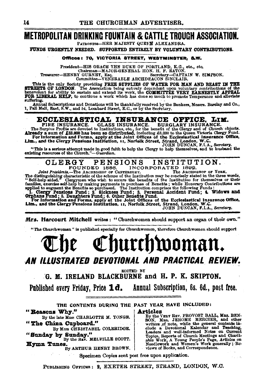### **METROPOLITAN DRINKING FOUNTAIN & CATTLE TROUGH ASSOCIATION.**

PATRONESS-HER MAJESTY QUEEN ALEXANDRA.

FUNDS URGENTLY NEEDED. SUPPORTED ENTIRELY BY VOLUNTARY CONTRIBUTIONS.

#### Offices: 70, VICTORIA STREET, WESTMINSTER. S.W.

President-HIS GRACE THE DUKE OF PORTLAND, K.G., etc., etc., Chairman-MAJOR-GENERAL HON. H. F. EATON.<br>Treasurer-HENRY GURNET, Esq., etc., Secretary-CAPTAIN W. SIMPSON.<br>Committee-VENERABLE ARCHDEACON SINCLAIR.

This is the only Society providing FREE SUPPLIES OF WATER FOR MAN AND BEAST IN THE STREETS OF IONDON. The Association being entrepty dependent then well measured that beneveled to relation of the CASE benevelet for ability suffering.

Annual Subscriptions and Donations will be thankfully received by the Bankers, Messrs. Barclay and Co., 1, Pall Mall, East, S.W., and 54, Lombard Street, E.C., or by the Secretary.

**ECCLESIASTICAL INSURANCE.** OFFICE, LIM.<br>FIRE INSURANCE. GLASS INSURANCE. BURGLARY INSURANCE.<br>The Surplus Frofits are devoted to Institutions, etc., for the benefit of the Clergy and of Church objects.<br>Already a sum of £33

"This is a serious attempt made in good faith to help the Clergy to help themselves, and to husband the existing resources of the Clurch."-Guardian.

INSTITUTION. **CLERGY PENSIONS** INCORPORATED 1892. FOUNDED 1886.

Joint Presidents. The ARCHBISHOP OF CANTERBURY. The ARCHBISHOP OF YORK, The unumum characteristic of the benefits of the Institution frame and the three words, and the Self-help aded. Clergymen who wish to secure the benefits of the Institution for themselves or their families, exercise self-h

Mrs. Harcourt Mitchell writes: "Churchwomen should support an organ of their own."

"The Churchwoman" is published specially for Churchwomen, therefore Churchwomen should support

Churchwoman. AN ILLUSTRATED DEVOTIONAL AND PRACTICAL REVIEW.

**EDITED BY** 

G. M. IRELAND BLACKBURNE and H. P. K. SKIPTON.

Published every Friday, Price 1d. Annual Subscription, 6s. 6d., post free.

THE CONTENTS DURING THE PAST YEAR HAVE INCLUDED:

"Reasons Why."

By the late Miss CHARLOTTE M. YONGE. "The China Cupboard."

By MISS CHRISTABEL COLERIDGE. "Sunday by Sunday."<br>We have MELVILLE SCOTT.

Hymn Tunes. By ARTHUR HENRY BROWN. Articles

VICHES THEV. PROVOST BALL, MRS. BEN-<br>
By the VERY REV. PROVOST BALL, MRS. BEN-<br>
SON, MRS. JEROME MERCIER, and other writers of note, while the general contents include a Devotional Kalendar and Teaching,<br>
Leaders and well-Topics, Reports of Church Meetings and Charitable Work, A Young People's Page, Articles on<br>Needlework and Women's Work generally; Reviews of Books, and Correspondence,

Specimen Copies sent post free upon application.

PUBLISHING OFFICES: 2, EXETER STREET, STRAND, LONDON, W.C.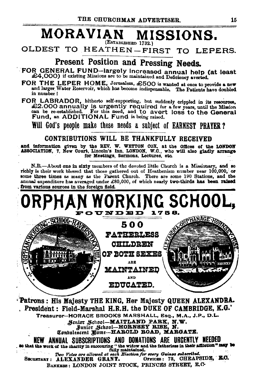#### **MORAVIAN** MISSIONS. (ESTABLISHED 1732.)

OLDEST TO HEATHEN-FIRST TO LEPERS.

### Present Position and Pressing Needs.

FOR GENERAL FUND-largely increased annual help (at least £4.000) if existing Missions are to be maintained and Deficiency averted.

FOR THE LEPER HOME, Jerusalem, £500 is wanted at once to provide a new and larger Water Reservoir, which has become indispensable. The Patients have doubled in number!

FOR LABRADOR, hitherto self-supporting, but suddenly orippled in its resources, £2,000 annually is urgently required for a few years, until the Mission can be re-established. For this need, and to avert loss to the General

Will God's people make these needs a subject of EARNEST PRAYER?

#### CONTRIBUTIONS WILL BE THANKFULLY RECEIVED

and information given by the REV. W. WETTON COX, at the Offices of the LONDON ASSOCIATION, 7, New Court, Lincoln's Inn, LONDON, W.C., who will also gladly arrange for Meetings, Sermons, Lectures, etc.

N.B.-About one in sixty members of the devoted little Church is a Missionary, and so richly is their work blessed that those gathered out of Heathenism number near 100,000, or some three times as many as the Parent Church. There are some 190 Stations, and the annual expenditure has averaged under £80,000, of which nearly two-thirds has been raised from various sources in the foreign field.



Patrons: His Majesty THE KING, Her Majesty QUEEN ALEXANDRA. President: Field-Marshal H.R.H. the DUKE OF CAMBRIDGE, K.G.' Treasurer-HORACE BROOKS MARSHALL, Esq., M.A., J.P., D.L. Senior School-MAITLAND PARK, N.W. Junior School-HORNBEY RIBE, N. West Theory School-HORNBEY RIBE, N. NEW ANNUAL SUBSCRIPTIONS AND DONATIONS ARE URGENTLY NEEDED so that the work of the successive the widow and the fatherises in their affliction." may be fully maintained. Two Votes are allowed at each Election for every Guinea subscribed. OFFICES: 73, CHEAPSIDE, E.C. SECRETARY: ALEXANDER GRANT. BANKERS: LONDON JOINT STOCK, PRINCES STREET, E.C.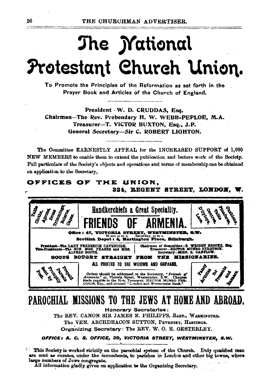# The *Mational* Protestant Church Union.

To Promote the Principles of the Reformation as set forth in the Prayer Book and Articles of the Church of England.

President - W. D. CRUDDAS, Esq. Chairman-The Rev. Prebendary H. W. WEBB-PEPLOE, M.A. Treasurer-T. VICTOR BUXTON, Esq., J.P. General Secretary-Sir C. ROBERT LIGHTON.

The Committee EARNESTLY APPEAL for the INCREASED SUPPORT of 1,000 NEW MEMBERS to enable them to extend the publication and lecture work of the Society. Full particulars of the Society's objects and operations and terms of membership can be obtained on application to the Secretary,



**Honorary Secretaries:** The REV. CANON SIR JAMES E. PHILIPPS. BABT. WARMINETER. The VEN. ARCHDEACON SUTTON, PEVENSEY, HASTINGS. Organizing Secretary: The REV. W. O. E. OESTERLEY.

OFFICE: A, C. S, OFFICE, 39, VICTORIA STREET, WESTMINSTER, S.W.

<sup>2.5</sup> This Society is worked strictly on the parochial system of the Church. Duly qualified men are sent as curates, under the incumbents, to parishes in London and other big towns, where large numbers of Jews congregate.

All information gladly given on application to the Organizing Secretary.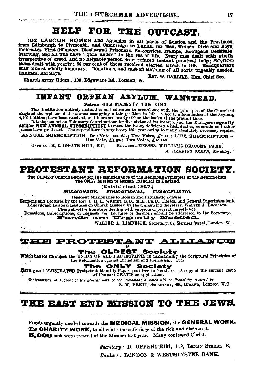### **HELP FOR THE OUTCAST.**

102 LABOUR HOMES and Agencies in all parts of London and the Provinces, from Edinburgh to Plymouth, and Cambridge to Dublin, for Men, Women, Girls and Boys, ITOIN ENDING TO ITS Offenders, Discharged Prisoners, Ex-convicts, Tranps, Hooligans, Desitints, and all who have "gone under" in the sea of life. Every case dealt with wholly irrespective of creed, and no helpable person e cases dealt with yearly : 56 per cent of those received started afresh in life. Headquarters staff almost wholly honorary. Donations, and cast-off clothing of all sorts urgently needed. Bankers, Barclavs.

Rev. W. CARLILE Hon. Chief Sec. Church Army Hdgrs., 130, Edgeware Rd., London, W.

#### INFANT ORPHAN ASYLUM. WANSTEAD.

Patron-HIS MAJESTY THE KING.

This Institution entirely maintains and educates in accuracy with the principles of the Church of<br>England the orphans of those once occupying a fair position in life. Since the foundation of the Asylum,<br>4,460 Children have

ANNUAL SUBSCRIPTION-One Vote, ros. 6d.; Two Votes,  $f_i$  is.; LIFE SUBSCRIPTION-One Vote,  $f_i$ s js.; Two Votes,  $f_i$ io ros.

BANKERS-MESSRS, WILLIAMS DEACON'S BANK. OFFICES-68. LUDGATE HILL. E.C. A. HARDING GREEN, Secretary.

PROTESTANT REFORMATION SOCIETY.

The OLDEST Church Scolety for the Maintenance of the Religious Principles of the Reformation The ONLY Mission to Roman Catholics in England.

(Established 1827.)

**MISSIONARY. EDUCATIONAL. EVANGELISTIC.** 

a Fo

Resident Missionaries to Roman and Ritualistic Centres. Sermons and Lectures by the Rev. C. H. H. Wantern Dissiple and Kituliance Centres.<br>
Equational Lectures of the Rev. C. H. H. Wantern D.D., M.A., Ph.D., Clerkal and General Superintendent.<br>
Equations flatern Lectures on Chu

WALTER A. LIMBRICK, Secretary, 62, Berners Street, London, W.

#### **THE PROTESTANT ALLIANCE**

TH .DEST

01 Society The Which has for its object the UNION OF ALL PROTESTANTS in maintaining the Scriptural Principles of the Reformation against Ritualism and Romantem. It is

The ONLY Society<br>
Eaving an ILLUSTRATED Protestant Monthly Paper, post free to Mombers. A copy of the current issue<br>
will be sent GRATIS on application.

Contributions in support of the general work of the Protestant Alliance will be thankfully received by

S. W. BRETT, SECRETARY, 430, STRAND, LONDON, W.C.

### **THE EAST END MISSION TO THE JEWS.**

Funds urgently needed towards the MEDICAL MISSION, the GENERAL WORK. The CHARITY WORK, to alleviate the sufferings of the sick and distressed. 5,000 sick were treated at the Mission last year. Many confessed Christ.

> Secretary: D. OPPENHEIM, 119, LEMAN STREET, E. Bankers: LONDON & WESTMINSTER BANK.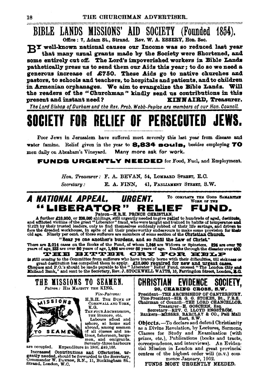**BIBLE LANDS MISSIONS' AID SOCIETY (Founded 1854).** Office: 7, Adam St., Strand. Rev. W. A. ESSERY. Hon. Sec.

DY well-known national causes our Income was so reduced last year that many usual grants made by the Society were Shortened, and some entirely cut off. The Lord's impoverished workers in Bible Lands pathetically press us to send them our Aids this year; to do so we need a generous increase of £750. These Aids go to native churches and pastors, to schools and teachers, to hospitals and patients, and to children in Armenian ornhanages. We aim to evangelize the Bible Lands. Will the readers of the "Churchman" kindly send us contributions in this present and instant need? KINNAIRD. Treasurer.

The Lord Bishop of Durham and the Rev. Preb. Webb-Peploe are members of our Hon. Council.

### **PERSECU** RELIEE OE

Poor Jews in Jerusalem have suffered most severely this last year from disease and water famine. Relief given in the year to 8.834 souls. besides employing 70 men daily on Abraham's Vineyard. Many more ask for work.

**FUNDS URGENTLY NEEDED for Food, Fuel, and Employment,** 

Hon. Treasurer: F. A. BEVAN, 54, LOMBARD STREET, E.C. Secretary: E. A. FINN. 41. PARLIAMENT STREET, S.W.

#### A NATIONAL APPEAL. TO COMPLETE THE GOOD SAMARITAN URGENT. WORK OF THE "LIBERATOR" RELIEF CUND. Patron-H.R.H. PRINCE CHRISTIAN.

A further £10,000, or 200,000 shillings, still urgently needed to give relief to hundreds of aged, destitute,<br>and afflicted victims of the great "Liberator" fraud, who were taught and trained in habits of temperance and<br>th

"Bear ye one another's burdens, and so fulfil the Law of Christ."

There are 3,014 cases on the Books of the Fund, of whom 1,548 are Widows or Spinsters. 824 are over 70 years of age, 233 are over 80 years of age, 1,486 are over 60 years of age. THE BITTER CRY FOR HELP

is still coming to the Committee from sufferers who have bravely borne with their difficulties, till sickness or great destitution has compelled them to apply. £10,000 required for new and urgent cases.<br>Cheques and P.O.'s should be made payable to the "Liberator" Relief Fund, crossed "The London Oity and Midland Bank," and sent to the Secretary, Rev. J. STOCKWELL WATTS, 16, Farringdon Street, London, R.C.



are occupied. Expenditure in 1900, £49,166.

Increased Contributions and Offstories, urgently needed, should be forwarded to the Secretary, Commander W. DAWNON, R.N., 11, Buckingham St., Strand, London, W.C.

#### CHRISTIAN **EVILLNUE SUGIELY,** 26. CHARING CROSS. S.W.

President-THE ARCHBISHOP OF CANTERBURY. Testamont-The ARVIDSICAL VALUES DENSITY OF CARTIZATES.<br>
The President-SIR G. G. STOKES, Bt., F.R.S.<br>
Chairman of Council-THE LORD CHANCELLOR.<br>
Treasurer--H. GOSCHEN, Esq.<br>
Secretary--REV. C. LLOYD ENGSTROM.<br>
Bankers-MESSRS

East, S.W.

Objects. - To declare and defend Christianity as a Divine Revelation, by Lectures, Sermons, Classes for Study and Examination (with prizes, etc.), Publications (books and tracts, correspondence, and interviews). An Evidential Mission in London and great provincial centres of the highest order will (D.V.) commence January, 1902.

FUNDS MOST URGENTLY NEEDED.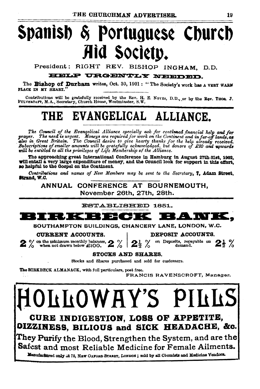# Spanish & Portuguese Church Aid Society.

President: RIGHT REV. BISHOP INGHAM, D.D.

HELP URGENTLY NEEDED.

The Bishop of Durham writes, Oct. 30, 1901: "The Society's work has A VERY WARM PLACE IN MY HEART.'

Contributions will be gratefully received by the Rev. H. E. Novas, D.D., or by the Rev. THOS. J. PULVERTAFT, M.A., Secretary, Church House, Westminster, S.W.

## THE EVANGELICAL ALLIANCE.

The Council of the Evangelical Alliance specially ask for continued financial help and for The need is urgent. Moneys are required for work on the Continent and in far-off lands, as prayer. proger. The need is ally can be properly and required for the control of the help already received.<br>Subscriptions of smaller amounts will be gratefully acknowledged, but donors of £20 and upwards<br>will be entitled to all th

The approaching great International Conference in Hamburg in August 27th-31st. 1902. will entail a very large expenditure of money, and the Council look for support in this effort, so helpful to the Gospel on the Continent.

Contributions and names of New Members may be sent to the Secretary, 7, Adam Street, Strand, W.C.

ANNUAL CONFERENCE AT BOURNEMOUTH. November 26th, 27th, 28th,

ESTABLISHED 1851.



SOUTHAMPTON BUILDINGS, CHANCERY LANE, LONDON, W.C.

**CURRENT ACCOUNTS.** 

 $2\frac{1}{2}$  %

 $2\%$  on the minimum monthly balances,  $2\%$ 

DEPOSIT ACCOUNTS. on Deposits, repayable on  $2\frac{1}{2}$  %

demand.

**STOCKS AND SHARES.** 

Stocks and Shares purchased and sold for customers.

The BIRKBECK ALMANACK, with full particulars, post free.

FRANCIS RAVENSCROFT, Manager.

LLOWAY'S 1

CURE INDIGESTION. LOSS OF APPETITE, OIZZINESS. BILIOUS and SICK HEADACHE, &c.

They Purify the Blood, Strengthen the System, and are the  $\mid$ Safest and most Reliable Medicine for Female Ailments.

Manufactured only at 78, NEW OXFORD STREET, LONDON; sold by all Chemists and Medicine Vendors.